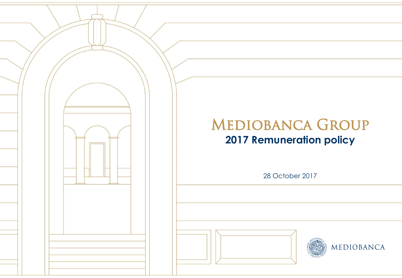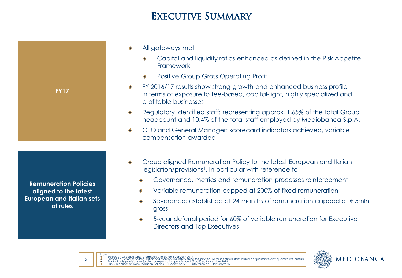## EXECUTIVE SUMMARY

- All gateways met
	- Capital and liquidity ratios enhanced as defined in the Risk Appetite Framework
	- Positive Group Gross Operating Profit
- FY 2016/17 results show strong growth and enhanced business profile in terms of exposure to fee-based, capital-light, highly specialized and profitable businesses
- Regulatory Identified staff: representing approx. 1,65% of the total Group ۰ headcount and 10,4% of the total staff employed by Mediobanca S.p.A.
- CEO and General Manager: scorecard indicators achieved, variable compensation awarded
- Group aligned Remuneration Policy to the latest European and Italian legislation/provisions<sup>1</sup>. In particular with reference to
	- Governance, metrics and remuneration processes reinforcement
	- Variable remuneration capped at 200% of fixed remuneration
	- Severance: established at 24 months of remuneration capped at € 5mln gross
	- 5-year deferral period for 60% of variable remuneration for Executive Directors and Top Executives



**Remuneration Policies aligned to the latest European and Italian sets of rules**

**FY17**



Note 1) European Directive CRD IV came into force on 1 January 2014 European Commission Regulation of 4 March 2014, establishing the procedure for identified staff, based on qualitative and quantitative criteria Bank of Italy provisions regarding compensation policies and practices, November 2014 EBA Guidelines on Remuneration Policies 21 December 2015, into force on 1 January 2017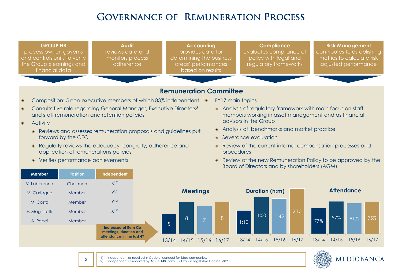# Governance of Remuneration Process





1) Independent as required in Code of conduct for listed companies.

3

2) Independent as required by Article 148, para. 3 of Italian Legislative Decree 58/98.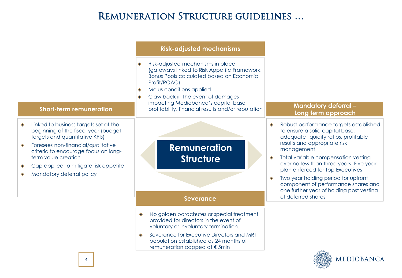# REMUNERATION STRUCTURE GUIDELINES ...

|                                                                                                                                                                                                                                                                                            | <b>Risk-adjusted mechanisms</b>                                                                                                                                                                                                                                                                                          |                                                                                                                                                                                                                                                                                                                                                                                                                   |
|--------------------------------------------------------------------------------------------------------------------------------------------------------------------------------------------------------------------------------------------------------------------------------------------|--------------------------------------------------------------------------------------------------------------------------------------------------------------------------------------------------------------------------------------------------------------------------------------------------------------------------|-------------------------------------------------------------------------------------------------------------------------------------------------------------------------------------------------------------------------------------------------------------------------------------------------------------------------------------------------------------------------------------------------------------------|
| <b>Short-term remuneration</b>                                                                                                                                                                                                                                                             | Risk-adjusted mechanisms in place<br>(gateways linked to Risk Appetite Framework,<br><b>Bonus Pools calculated based on Economic</b><br>Profit/ROAC)<br>Malus conditions applied<br>٠<br>Claw back in the event of damages<br>impacting Mediobanca's capital base,<br>profitability, financial results and/or reputation | <b>Mandatory deferral-</b><br>Long term approach                                                                                                                                                                                                                                                                                                                                                                  |
| Linked to business targets set at the<br>beginning of the fiscal year (budget<br>targets and quantitative KPIs)<br>Foresees non-financial/qualitative<br>criteria to encourage focus on long-<br>term value creation<br>Cap applied to mitigate risk appetite<br>Mandatory deferral policy | <b>Remuneration</b><br><b>Structure</b>                                                                                                                                                                                                                                                                                  | Robust performance targets established<br>to ensure a solid capital base,<br>adequate liquidity ratios, profitable<br>results and appropriate risk<br>management<br>Total variable compensation vesting<br>over no less than three years. Five year<br>plan enforced for Top Executives<br>Two year holding period for upfront<br>component of performance shares and<br>one further year of holding post vesting |
|                                                                                                                                                                                                                                                                                            | <b>Severance</b>                                                                                                                                                                                                                                                                                                         | of deferred shares                                                                                                                                                                                                                                                                                                                                                                                                |
|                                                                                                                                                                                                                                                                                            | No golden parachutes or special treatment<br>provided for directors in the event of<br>voluntary or involuntary termination.<br>Severance for Executive Directors and MRT<br>population established as 24 months of<br>remuneration capped at €5mln                                                                      |                                                                                                                                                                                                                                                                                                                                                                                                                   |
| 4                                                                                                                                                                                                                                                                                          |                                                                                                                                                                                                                                                                                                                          | MEDIOBANCA                                                                                                                                                                                                                                                                                                                                                                                                        |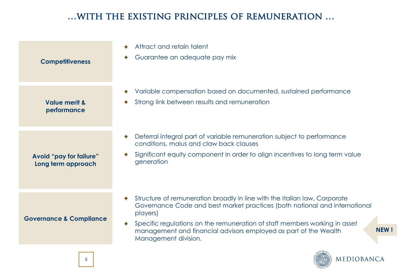## …with the existing principles of remuneration …

| <b>Competitiveness</b>                        | Attract and retain talent<br>$\bullet$<br>Guarantee an adequate pay mix                                                                                                                                                                                                                                                                                      |
|-----------------------------------------------|--------------------------------------------------------------------------------------------------------------------------------------------------------------------------------------------------------------------------------------------------------------------------------------------------------------------------------------------------------------|
| <b>Value merit &amp;</b><br>performance       | Variable compensation based on documented, sustained performance<br>Strong link between results and remuneration                                                                                                                                                                                                                                             |
| Avoid "pay for failure"<br>Long term approach | Deferral integral part of variable remuneration subject to performance<br>۰<br>conditions, malus and claw back clauses<br>Significant equity component in order to align incentives to long term value<br>generation                                                                                                                                         |
| <b>Governance &amp; Compliance</b>            | Structure of remuneration broadly in line with the Italian law, Corporate<br>Governance Code and best market practices (both national and international<br>players)<br>Specific regulations on the remuneration of staff members working in asset<br><b>NEW!</b><br>management and financial advisors employed as part of the Wealth<br>Management division. |
|                                               | COBA                                                                                                                                                                                                                                                                                                                                                         |

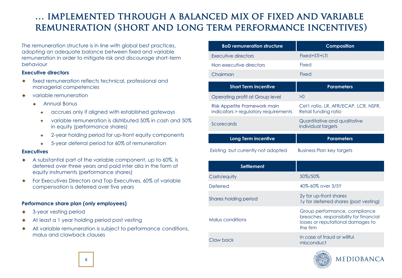## … implemented through a balanced mix of fixed and variable remuneration (short and long term performance incentives)

The remuneration structure is in line with global best practices, adopting an adequate balance between fixed and variable remuneration in order to mitigate risk and discourage short-term behaviour

#### **Executive directors**

- fixed remuneration reflects technical, professional and managerial competencies
- variable remuneration
	- $\bullet$ Annual Bonus
		- accrues only if aligned with established gateways  $\ddot{\bullet}$
		- variable remuneration is distributed 50% in cash and 50% ۰ in equity (performance shares)
		- 2-year holding period for up-front equity components  $\bullet$
		- 5-year deferral period for 60% of remuneration  $\ddot{\bullet}$

#### **Executives**

- A substantial part of the variable component, up to 60%, is deferred over three years and paid inter alia in the form of equity instruments (performance shares)
- For Executives Directors and Top Executives, 60% of variable compensation is deferred over five years

#### **Performance share plan (only employees)**

- 3-year vesting period
- At least a 1 year holding period post vesting
- All variable remuneration is subject to performance conditions, malus and clawback clauses

| <b>BoD remuneration structure</b>                                    | <b>Composition</b>                                           |  |
|----------------------------------------------------------------------|--------------------------------------------------------------|--|
| Executive directors                                                  | Fixed+STI+LTI                                                |  |
| Non executive directors                                              | Fixed                                                        |  |
| Chairman                                                             | Fixed                                                        |  |
| <b>Short Term incentive</b>                                          | <b>Parameters</b>                                            |  |
| Operating profit at Group level                                      | >0                                                           |  |
| Risk Appetite Framework main<br>indicators > regulatory requirements | Cet1 ratio, LR, AFR/ECAP, LCR, NSFR,<br>Retail funding ratio |  |
| Scorecards                                                           | Quantitative and qualitative<br>individual targets           |  |
| Long Term incentive                                                  | <b>Parameters</b>                                            |  |
| Existing but currently not adopted                                   | Business Plan key targets                                    |  |

| <b>Settlement</b>     |                                                                                                                          |
|-----------------------|--------------------------------------------------------------------------------------------------------------------------|
| Cash/equity           | 50%/50%                                                                                                                  |
| Deferred              | 40%-60% over 3/5Y                                                                                                        |
| Shares holding period | 2y for up-front shares<br>Ty for deferred shares (post vesting)                                                          |
| Malus conditions      | Group performance, compliance<br>breaches, responsibility for financial<br>losses or reputational damages to<br>the firm |
| Claw back             | In case of fraud or willful<br>misconduct                                                                                |

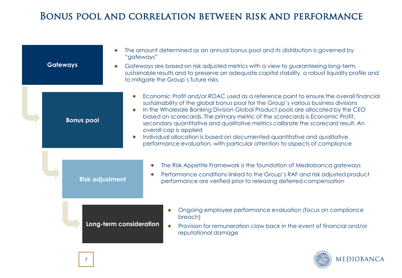## Bonus pool and correlation between risk and performance

| <b>Gateways</b>        | The amount determined as an annual bonus pool and its distribution is governed by<br>"gateways"<br>Gateways are based on risk adjusted metrics with a view to guaranteeing long-term,<br>sustainable results and to preserve an adequate capital stability, a robust liquidity profile and<br>to mitigate the Group's future risks                                                                                                                                                                                                                                                                                        |  |  |
|------------------------|---------------------------------------------------------------------------------------------------------------------------------------------------------------------------------------------------------------------------------------------------------------------------------------------------------------------------------------------------------------------------------------------------------------------------------------------------------------------------------------------------------------------------------------------------------------------------------------------------------------------------|--|--|
| <b>Bonus pool</b>      | Economic Profit and/or ROAC used as a reference point to ensure the overall financial<br>sustainability of the global bonus pool for the Group's various business divisions<br>In the Wholesale Banking Division Global Product pools are allocated by the CEO<br>based on scorecards. The primary metric of the scorecards is Economic Profit,<br>secondary quantitative and qualitative metrics calibrate the scorecard result. An<br>overall cap is applied<br>Individual allocation is based on documented quantitative and qualitative<br>performance evaluation, with particular attention to aspects of compliance |  |  |
| <b>Risk adjustment</b> | The Risk Appetite Framework is the foundation of Mediobanca gateways<br>Performance conditions linked to the Group's RAF and risk adjusted product<br>performance are verified prior to releasing deferred compensation                                                                                                                                                                                                                                                                                                                                                                                                   |  |  |
|                        | Ongoing employee performance evaluation (focus on compliance<br>breach)<br>Long-term consideration<br>Provision for remuneration claw back in the event of financial and/or<br>reputational damage                                                                                                                                                                                                                                                                                                                                                                                                                        |  |  |

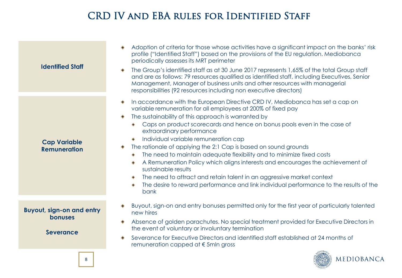# CRD IV and EBA rules for Identified Staff

| <b>Identified Staff</b>                                                | Adoption of criteria for those whose activities have a significant impact on the banks' risk<br>profile ("Identified Staff") based on the provisions of the EU regulation. Mediobanca<br>periodically assesses its MRT perimeter<br>The Group's identified staff as at 30 June 2017 represents 1,65% of the total Group staff<br>and are as follows: 79 resources qualified as identified staff, including Executives, Senior<br>Management, Manager of business units and other resources with managerial<br>responsibilities (92 resources including non executive directors)                                                                                                                                                                                                                             |
|------------------------------------------------------------------------|-------------------------------------------------------------------------------------------------------------------------------------------------------------------------------------------------------------------------------------------------------------------------------------------------------------------------------------------------------------------------------------------------------------------------------------------------------------------------------------------------------------------------------------------------------------------------------------------------------------------------------------------------------------------------------------------------------------------------------------------------------------------------------------------------------------|
| <b>Cap Variable</b><br><b>Remuneration</b>                             | In accordance with the European Directive CRD IV, Mediobanca has set a cap on<br>variable remuneration for all employees at 200% of fixed pay<br>The sustainability of this approach is warranted by<br>Caps on product scorecards and hence on bonus pools even in the case of<br>extraordinary performance<br>Individual variable remuneration cap<br>The rationale of applying the 2:1 Cap is based on sound grounds<br>The need to maintain adequate flexibility and to minimize fixed costs<br>۰<br>A Remuneration Policy which aligns interests and encourages the achievement of<br>sustainable results<br>The need to attract and retain talent in an aggressive market context<br>۰<br>The desire to reward performance and link individual performance to the results of the<br>$\bullet$<br>bank |
| <b>Buyout, sign-on and entry</b><br><b>bonuses</b><br><b>Severance</b> | Buyout, sign-on and entry bonuses permitted only for the first year of particularly talented<br>new hires<br>Absence of golden parachutes. No special treatment provided for Executive Directors in<br>the event of voluntary or involuntary termination<br>Severance for Executive Directors and identified staff established at 24 months of<br>۰<br>remuneration capped at $\epsilon$ 5mln gross                                                                                                                                                                                                                                                                                                                                                                                                         |
| 8                                                                      | MEDIOBANCA                                                                                                                                                                                                                                                                                                                                                                                                                                                                                                                                                                                                                                                                                                                                                                                                  |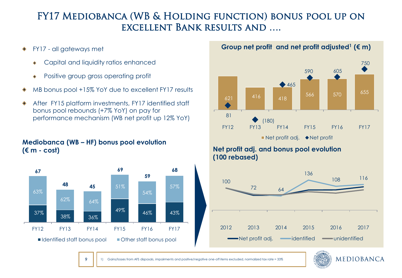## FY17 Mediobanca (WB & Holding function) bonus pool up on excellent Bank results and ….

- FY17 all gateways met
	- Capital and liquidity ratios enhanced
	- Positive group gross operating profit
- MB bonus pool +15% YoY due to excellent FY17 results
- After FY15 platform investments, FY17 identified staff bonus pool rebounds (+7% YoY) on pay for performance mechanism (WB net profit up 12% YoY)

#### **Mediobanca (WB – HF) bonus pool evolution (€ m - cost)**

9



#### **Group net profit and net profit adjusted<sup>1</sup> (€ m)**



#### **Net profit adj. and bonus pool evolution (100 rebased)**



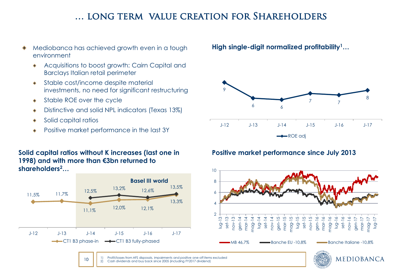## … long term value creation for Shareholders

- Mediobanca has achieved growth even in a tough environment
	- Acquisitions to boost growth: Cairn Capital and Barclays Italian retail perimeter
	- Stable cost/income despite material investments, no need for significant restructuring
	- Stable ROE over the cycle  $\ddot{\bullet}$
	- Distinctive and solid NPL indicators (Texas 13%)  $\bullet$
	- Solid capital ratios
	- Positive market performance in the last 3Y

#### **Solid capital ratios without K increases (last one in 1998) and with more than €3bn returned to shareholders<sup>2</sup>…**



10

**High single-digit normalized profitability<sup>1</sup>…**



lug-17

## **Positive market performance since July 2013**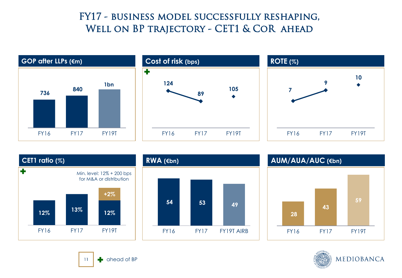## FY17 - business model successfully reshaping, WELL ON BP TRAJECTORY - CET1 & COR AHEAD









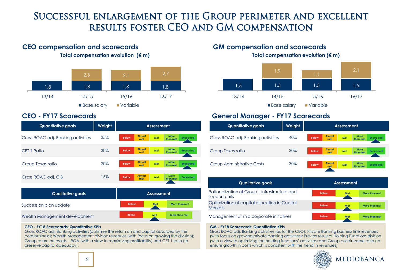## Successful enlargement of the Group perimeter and excellent results foster CEO and GM compensation



| <b>Quantitative goals</b>          | Weight | <b>Assessment</b>                                                                         |  |  |
|------------------------------------|--------|-------------------------------------------------------------------------------------------|--|--|
| Gross ROAC adj. Banking activities | 35%    | <b>Almost</b><br><b>More</b><br>Met<br><b>Exceeded</b><br><b>Below</b><br>than met<br>met |  |  |
| CET 1 Ratio                        | 30%    | <b>Almost</b><br><b>More</b><br>Met<br><b>Exceeded</b><br><b>Below</b><br>than met<br>met |  |  |
| Group Texas ratio                  | 20%    | <b>Almost</b><br><b>More</b><br>Met<br><b>Below</b><br><b>Exceeded</b><br>than met<br>met |  |  |
| Gross ROAC adj. CIB                | 15%    | <b>More</b><br><b>Almost</b><br>Met<br><b>Below</b><br><b>Exceeded</b><br>than met<br>met |  |  |
| <b>Qualitative goals</b>           |        | <b>Assessment</b>                                                                         |  |  |

| Qualitative goals             | <b>Assessment</b> |     |               |  |
|-------------------------------|-------------------|-----|---------------|--|
| Succession plan update        | <b>Below</b>      | Met | More than met |  |
| Wealth Management development | <b>Below</b>      | Met | More than met |  |

#### **CEO - FY18 Scorecards: Quantitative KPIs**

Gross ROAC adj. Banking activities(optimize the return on and capital absorbed by the core business); Wealth Management division revenues (with focus on growing the division); Group return on assets – ROA (with a view to maximizing profitability) and CET 1 ratio (to preserve capital adequacy).

**Total compensation evolution (€ m) Total compensation evolution (€ m) CEO compensation and scorecards GM compensation and scorecards**



#### **CEO - FY17 Scorecards General Manager - FY17 Scorecards**

| <b>Quantitative goals</b>          | Weight | Assessment                                                                                |  |  |  |
|------------------------------------|--------|-------------------------------------------------------------------------------------------|--|--|--|
| Gross ROAC adj. Banking activities | 40%    | <b>Almost</b><br><b>More</b><br>Met<br><b>Below</b><br><b>Exceeded</b><br>than met<br>met |  |  |  |
| Group Texas ratio                  | 30%    | <b>Almost</b><br><b>More</b><br>Met<br><b>Below</b><br><b>Exceeded</b><br>than met<br>met |  |  |  |
| Group Administrative Costs         | 30%    | Almost<br>More<br>Met<br><b>Exceeded</b><br><b>Below</b><br>than met<br>met               |  |  |  |

| <b>Qualitative goals</b>                                        | <b>Assessment</b> |            |               |
|-----------------------------------------------------------------|-------------------|------------|---------------|
| Rationalization of Group's infrastructure and<br>support units  | <b>Below</b>      | <b>Met</b> | More than met |
| Optimization of capital allocation in Capital<br><b>Markets</b> | <b>Below</b>      | Met        | More than met |
| Management of mid corporate initiatives                         | <b>Below</b>      | Met        | More than met |

#### **GM - FY18 Scorecards: Quantitative KPIs**

Gross ROAC adj. Banking activities (as for the CEO); Private Banking business line revenues (with focus on growing private banking activities); Pre-tax result of Holding Functions division (with a view to optimizing the holding functions' activities) and Group cost/income ratio (to ensure growth in costs which is consistent with the trend in revenues).